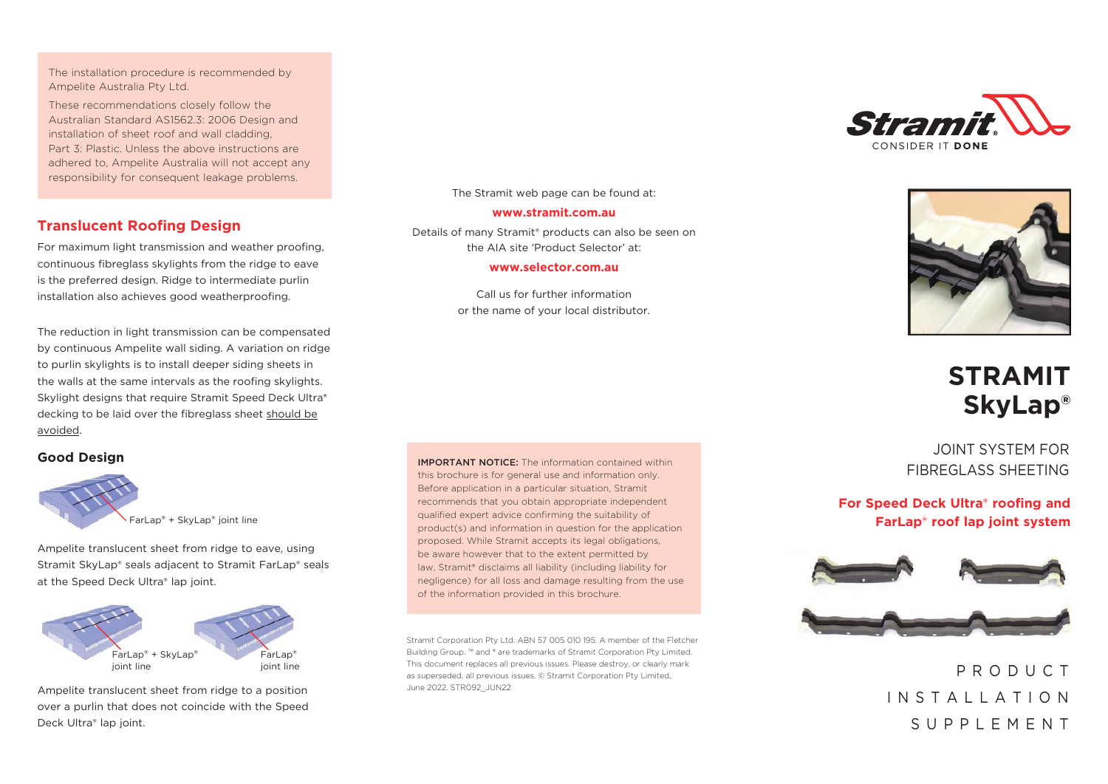The installation procedure is recommended by Ampelite Australia Pty Ltd.

These recommendations closely follow the Australian Standard AS1562.3: 2006 Design and installation of sheet roof and wall cladding, Part 3: Plastic. Unless the above instructions are adhered to, Ampelite Australia will not accept any responsibility for consequent leakage problems.

### **Translucent Roofing Design**

For maximum light transmission and weather proofing, continuous fibreglass skylights from the ridge to eave is the preferred design. Ridge to intermediate purlin installation also achieves good weatherproofing.

The reduction in light transmission can be compensated by continuous Ampelite wall siding. A variation on ridge to purlin skylights is to install deeper siding sheets in the walls at the same intervals as the roofing skylights. Skylight designs that require Stramit Speed Deck Ultra® decking to be laid over the fibreglass sheet should be avoided.

### **Good Design**



FarLap® + SkyLap® joint line

Ampelite translucent sheet from ridge to eave, using Stramit SkyLap® seals adjacent to Stramit FarLap® seals at the Speed Deck Ultra® lap joint.



Ampelite translucent sheet from ridge to a position over a purlin that does not coincide with the Speed Deck Ultra® lap joint.

The Stramit web page can be found at: **www.stramit.com.au**

Details of many Stramit® products can also be seen on the AIA site 'Product Selector' at: **www.selector.com.au**

> Call us for further information or the name of your local distributor.





# **STRAMIT SkyLap®**

JOINT SYSTEM FOR FIBREGLASS SHEETING

**For Speed Deck Ultra**® **roofing and FarLap**® **roof lap joint system**



P R O D U C T I N S T A L L A T I O N SUPPLEMENT

IMPORTANT NOTICE: The information contained within this brochure is for general use and information only. Before application in a particular situation, Stramit recommends that you obtain appropriate independent qualified expert advice confirming the suitability of product(s) and information in question for the application proposed. While Stramit accepts its legal obligations, be aware however that to the extent permitted by law, Stramit® disclaims all liability (including liability for negligence) for all loss and damage resulting from the use of the information provided in this brochure.

Stramit Corporation Pty Ltd. ABN 57 005 010 195. A member of the Fletcher Building Group. ™ and ® are trademarks of Stramit Corporation Pty Limited. This document replaces all previous issues. Please destroy, or clearly mark as superseded, all previous issues. © Stramit Corporation Pty Limited, June 2022. STR092\_JUN22